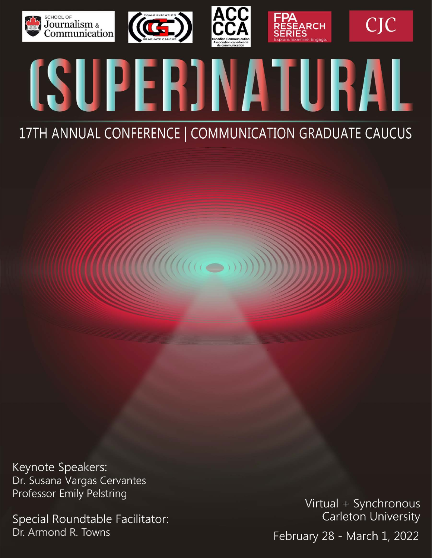







**CJC** 



# 17TH ANNUAL CONFERENCE | COMMUNICATION GRADUATE CAUCUS

 $\mathcal{U}(\mathcal{U}(\mathcal{U}(\mathcal{U}(\mathcal{U}(\mathcal{U}(\mathcal{U}(\mathcal{U}(\mathcal{U}(\mathcal{U}(\mathcal{U}(\mathcal{U}(\mathcal{U}(\mathcal{U}(\mathcal{U}(\mathcal{U}(\mathcal{U}(\mathcal{U}(\mathcal{U}(\mathcal{U}(\mathcal{U}(\mathcal{U}(\mathcal{U}(\mathcal{U}(\mathcal{U}(\mathcal{U}(\mathcal{U}(\mathcal{U}(\mathcal{U}(\mathcal{U}(\mathcal{U}(\mathcal{U}(\mathcal{U}(\mathcal{U}(\mathcal{U}(\mathcal{U}(\mathcal{$ 

Keynote Speakers: Dr. Susana Vargas Cervantes Professor Emily Pelstring

Special Roundtable Facilitator: Dr. Armond R. Towns

Virtual + Synchronous Carleton University February 28 - March 1, 2022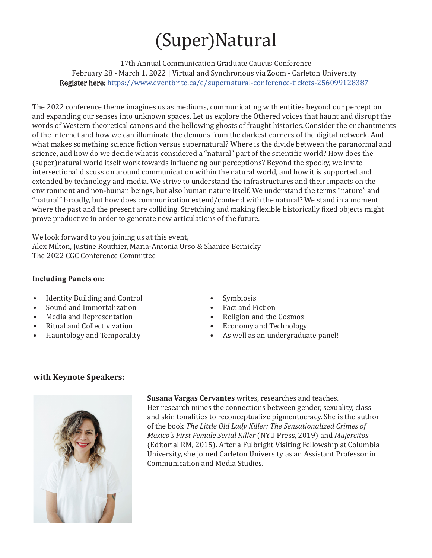# (Super)Natural

17th Annual Communication Graduate Caucus Conference February 28 - March 1, 2022 | Virtual and Synchronous via Zoom - Carleton University Register here: <https://www.eventbrite.ca/e/supernatural-conference-tickets-256099128387>

The 2022 conference theme imagines us as mediums, communicating with entities beyond our perception and expanding our senses into unknown spaces. Let us explore the Othered voices that haunt and disrupt the words of Western theoretical canons and the bellowing ghosts of fraught histories. Consider the enchantments of the internet and how we can illuminate the demons from the darkest corners of the digital network. And what makes something science fiction versus supernatural? Where is the divide between the paranormal and science, and how do we decide what is considered a "natural" part of the scientific world? How does the (super)natural world itself work towards influencing our perceptions? Beyond the spooky, we invite intersectional discussion around communication within the natural world, and how it is supported and extended by technology and media. We strive to understand the infrastructures and their impacts on the environment and non-human beings, but also human nature itself. We understand the terms "nature" and "natural" broadly, but how does communication extend/contend with the natural? We stand in a moment where the past and the present are colliding. Stretching and making flexible historically fixed objects might prove productive in order to generate new articulations of the future.

We look forward to you joining us at this event, Alex Milton, Justine Routhier, Maria-Antonia Urso & Shanice Bernicky The 2022 CGC Conference Committee

#### **Including Panels on:**

- Identity Building and Control
- Sound and Immortalization
- Media and Representation
- Ritual and Collectivization
- Hauntology and Temporality
- **Symbiosis**
- Fact and Fiction
- Religion and the Cosmos
- Economy and Technology<br>• As well as an undergradua
- As well as an undergraduate panel!

## **with Keynote Speakers:**



**Susana Vargas Cervantes** writes, researches and teaches. Her research mines the connections between gender, sexuality, class and skin tonalities to reconceptualize pigmentocracy. She is the author of the book *The Little Old Lady Killer: The Sensationalized Crimes of Mexico's First Female Serial Killer* (NYU Press, 2019) and *Mujercitos*  (Editorial RM, 2015). After a Fulbright Visiting Fellowship at Columbia University, she joined Carleton University as an Assistant Professor in Communication and Media Studies.